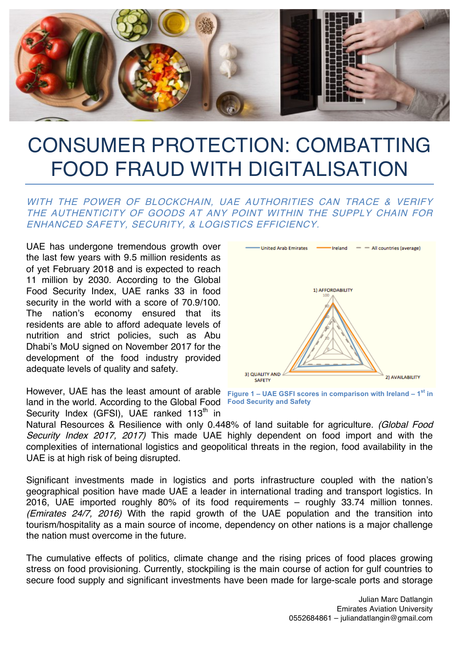

## CONSUMER PROTECTION: COMBATTING FOOD FRAUD WITH DIGITALISATION

## WITH THE POWER OF BLOCKCHAIN, UAE AUTHORITIES CAN TRACE & VERIFY THE AUTHENTICITY OF GOODS AT ANY POINT WITHIN THE SUPPLY CHAIN FOR ENHANCED SAFETY, SECURITY, & LOGISTICS EFFICIENCY.

UAE has undergone tremendous growth over the last few years with 9.5 million residents as of yet February 2018 and is expected to reach 11 million by 2030. According to the Global Food Security Index, UAE ranks 33 in food security in the world with a score of 70.9/100. The nation's economy ensured that its residents are able to afford adequate levels of nutrition and strict policies, such as Abu Dhabi's MoU signed on November 2017 for the development of the food industry provided adequate levels of quality and safety.

However, UAE has the least amount of arable **Figure 1 – UAE GSFI scores in comparison with Ireland – 1st in**  land in the world. According to the Global Food **Food Security and Safety** Security Index (GFSI), UAE ranked  $113<sup>th</sup>$  in



Natural Resources & Resilience with only 0.448% of land suitable for agriculture. (Global Food Security Index 2017, 2017) This made UAE highly dependent on food import and with the complexities of international logistics and geopolitical threats in the region, food availability in the UAE is at high risk of being disrupted.

Significant investments made in logistics and ports infrastructure coupled with the nation's geographical position have made UAE a leader in international trading and transport logistics. In 2016, UAE imported roughly 80% of its food requirements – roughly 33.74 million tonnes. (Emirates 24/7, 2016) With the rapid growth of the UAE population and the transition into tourism/hospitality as a main source of income, dependency on other nations is a major challenge the nation must overcome in the future.

The cumulative effects of politics, climate change and the rising prices of food places growing stress on food provisioning. Currently, stockpiling is the main course of action for gulf countries to secure food supply and significant investments have been made for large-scale ports and storage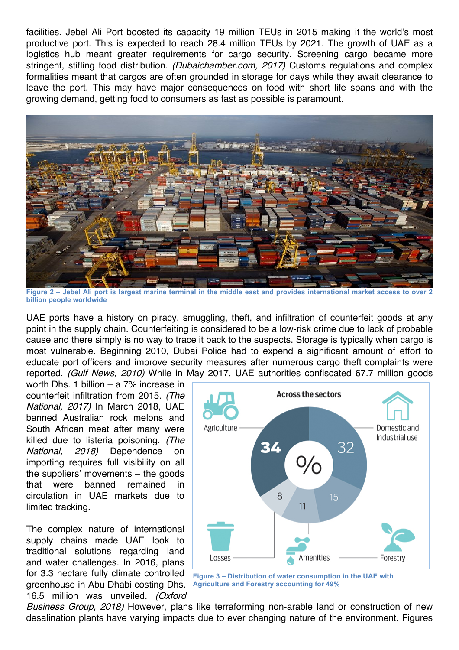facilities. Jebel Ali Port boosted its capacity 19 million TEUs in 2015 making it the world's most productive port. This is expected to reach 28.4 million TEUs by 2021. The growth of UAE as a logistics hub meant greater requirements for cargo security. Screening cargo became more stringent, stifling food distribution. *(Dubaichamber.com, 2017)* Customs regulations and complex formalities meant that cargos are often grounded in storage for days while they await clearance to leave the port. This may have major consequences on food with short life spans and with the growing demand, getting food to consumers as fast as possible is paramount.



**Figure 2 – Jebel Ali port is largest marine terminal in the middle east and provides international market access to over 2 billion people worldwide**

UAE ports have a history on piracy, smuggling, theft, and infiltration of counterfeit goods at any point in the supply chain. Counterfeiting is considered to be a low-risk crime due to lack of probable cause and there simply is no way to trace it back to the suspects. Storage is typically when cargo is most vulnerable. Beginning 2010, Dubai Police had to expend a significant amount of effort to educate port officers and improve security measures after numerous cargo theft complaints were reported. (Gulf News, 2010) While in May 2017, UAE authorities confiscated 67.7 million goods

worth Dhs. 1 billion – a 7% increase in counterfeit infiltration from 2015. (The National, 2017) In March 2018, UAE banned Australian rock melons and South African meat after many were killed due to listeria poisoning. (The National, 2018) Dependence on importing requires full visibility on all the suppliers' movements – the goods that were banned remained in circulation in UAE markets due to limited tracking.

The complex nature of international supply chains made UAE look to traditional solutions regarding land and water challenges. In 2016, plans for 3.3 hectare fully climate controlled greenhouse in Abu Dhabi costing Dhs. 16.5 million was unveiled. (Oxford



**Figure 3 – Distribution of water consumption in the UAE with Agriculture and Forestry accounting for 49%**

Business Group, 2018) However, plans like terraforming non-arable land or construction of new desalination plants have varying impacts due to ever changing nature of the environment. Figures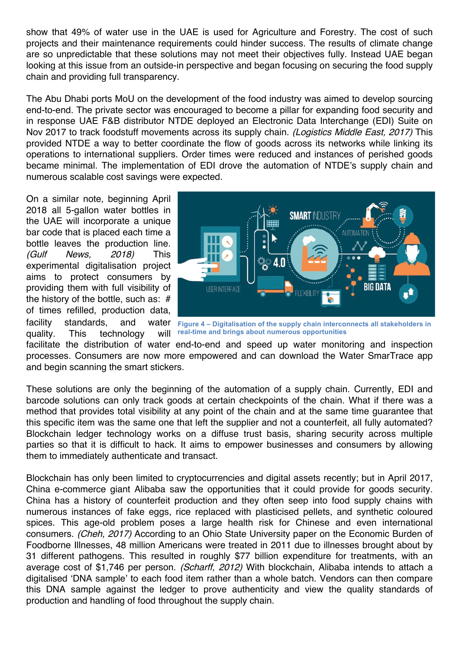show that 49% of water use in the UAE is used for Agriculture and Forestry. The cost of such projects and their maintenance requirements could hinder success. The results of climate change are so unpredictable that these solutions may not meet their objectives fully. Instead UAE began looking at this issue from an outside-in perspective and began focusing on securing the food supply chain and providing full transparency.

The Abu Dhabi ports MoU on the development of the food industry was aimed to develop sourcing end-to-end. The private sector was encouraged to become a pillar for expanding food security and in response UAE F&B distributor NTDE deployed an Electronic Data Interchange (EDI) Suite on Nov 2017 to track foodstuff movements across its supply chain. (Logistics Middle East, 2017) This provided NTDE a way to better coordinate the flow of goods across its networks while linking its operations to international suppliers. Order times were reduced and instances of perished goods became minimal. The implementation of EDI drove the automation of NTDE's supply chain and numerous scalable cost savings were expected.

On a similar note, beginning April 2018 all 5-gallon water bottles in the UAE will incorporate a unique bar code that is placed each time a bottle leaves the production line. (Gulf News, 2018) This experimental digitalisation project aims to protect consumers by providing them with full visibility of the history of the bottle, such as: # of times refilled, production data, facility standards, and quality. This technology will



**Figure 4 – Digitalisation of the supply chain interconnects all stakeholders in real-time and brings about numerous opportunities**

facilitate the distribution of water end-to-end and speed up water monitoring and inspection processes. Consumers are now more empowered and can download the Water SmarTrace app and begin scanning the smart stickers.

These solutions are only the beginning of the automation of a supply chain. Currently, EDI and barcode solutions can only track goods at certain checkpoints of the chain. What if there was a method that provides total visibility at any point of the chain and at the same time guarantee that this specific item was the same one that left the supplier and not a counterfeit, all fully automated? Blockchain ledger technology works on a diffuse trust basis, sharing security across multiple parties so that it is difficult to hack. It aims to empower businesses and consumers by allowing them to immediately authenticate and transact.

Blockchain has only been limited to cryptocurrencies and digital assets recently; but in April 2017, China e-commerce giant Alibaba saw the opportunities that it could provide for goods security. China has a history of counterfeit production and they often seep into food supply chains with numerous instances of fake eggs, rice replaced with plasticised pellets, and synthetic coloured spices. This age-old problem poses a large health risk for Chinese and even international consumers. (Cheh, 2017) According to an Ohio State University paper on the Economic Burden of Foodborne Illnesses, 48 million Americans were treated in 2011 due to illnesses brought about by 31 different pathogens. This resulted in roughly \$77 billion expenditure for treatments, with an average cost of \$1,746 per person. (Scharff, 2012) With blockchain, Alibaba intends to attach a digitalised 'DNA sample' to each food item rather than a whole batch. Vendors can then compare this DNA sample against the ledger to prove authenticity and view the quality standards of production and handling of food throughout the supply chain.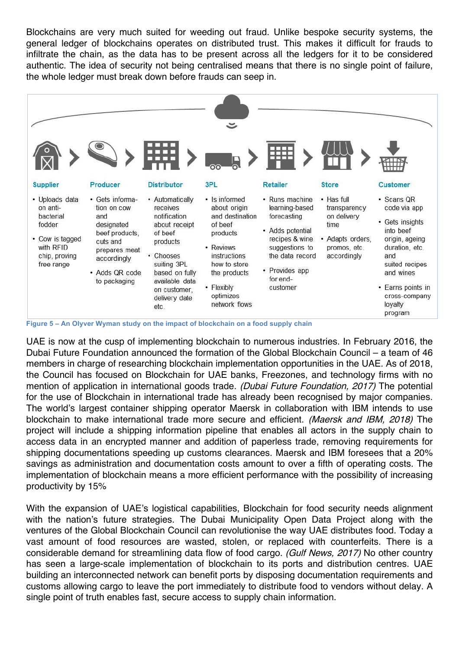Blockchains are very much suited for weeding out fraud. Unlike bespoke security systems, the general ledger of blockchains operates on distributed trust. This makes it difficult for frauds to infiltrate the chain, as the data has to be present across all the ledgers for it to be considered authentic. The idea of security not being centralised means that there is no single point of failure, the whole ledger must break down before frauds can seep in.



**Figure 5 – An Olyver Wyman study on the impact of blockchain on a food supply chain**

UAE is now at the cusp of implementing blockchain to numerous industries. In February 2016, the Dubai Future Foundation announced the formation of the Global Blockchain Council – a team of 46 members in charge of researching blockchain implementation opportunities in the UAE. As of 2018, the Council has focused on Blockchain for UAE banks, Freezones, and technology firms with no mention of application in international goods trade. (Dubai Future Foundation, 2017) The potential for the use of Blockchain in international trade has already been recognised by major companies. The world's largest container shipping operator Maersk in collaboration with IBM intends to use blockchain to make international trade more secure and efficient. (Maersk and IBM, 2018) The project will include a shipping information pipeline that enables all actors in the supply chain to access data in an encrypted manner and addition of paperless trade, removing requirements for shipping documentations speeding up customs clearances. Maersk and IBM foresees that a 20% savings as administration and documentation costs amount to over a fifth of operating costs. The implementation of blockchain means a more efficient performance with the possibility of increasing productivity by 15%

With the expansion of UAE's logistical capabilities, Blockchain for food security needs alignment with the nation's future strategies. The Dubai Municipality Open Data Project along with the ventures of the Global Blockchain Council can revolutionise the way UAE distributes food. Today a vast amount of food resources are wasted, stolen, or replaced with counterfeits. There is a considerable demand for streamlining data flow of food cargo. (Gulf News, 2017) No other country has seen a large-scale implementation of blockchain to its ports and distribution centres. UAE building an interconnected network can benefit ports by disposing documentation requirements and customs allowing cargo to leave the port immediately to distribute food to vendors without delay. A single point of truth enables fast, secure access to supply chain information.